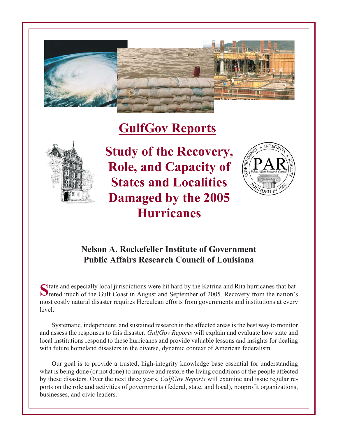

# **GulfGov Reports**



**Study of the Recovery, Role, and Capacity of States and Localities Damaged by the 2005 Hurricanes**



## **Nelson A. Rockefeller Institute of Government Public Affairs Research Council of Louisiana**

State and especially local jurisdictions were hit hard by the Katrina and Rita hurricanes that bat-<br>tered much of the Gulf Coast in August and September of 2005. Recovery from the nation's most costly natural disaster requires Herculean efforts from governments and institutions at every level.

Systematic, independent, and sustained research in the affected areas is the best way to monitor and assess the responses to this disaster. *GulfGov Reports* will explain and evaluate how state and local institutions respond to these hurricanes and provide valuable lessons and insights for dealing with future homeland disasters in the diverse, dynamic context of American federalism.

Our goal is to provide a trusted, high-integrity knowledge base essential for understanding what is being done (or not done) to improve and restore the living conditions of the people affected by these disasters. Over the next three years, *GulfGov Reports* will examine and issue regular reports on the role and activities of governments (federal, state, and local), nonprofit organizations, businesses, and civic leaders.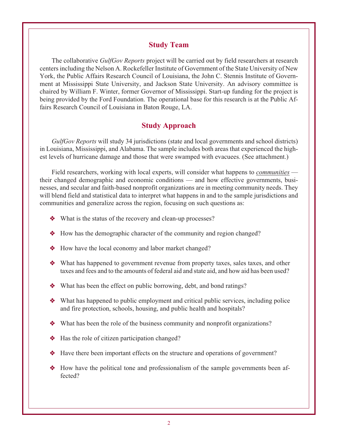#### **Study Team**

The collaborative *GulfGov Reports* project will be carried out by field researchers at research centers including the Nelson A. Rockefeller Institute of Government of the State University of New York, the Public Affairs Research Council of Louisiana, the John C. Stennis Institute of Government at Mississippi State University, and Jackson State University. An advisory committee is chaired by William F. Winter, former Governor of Mississippi. Start-up funding for the project is being provided by the Ford Foundation. The operational base for this research is at the Public Affairs Research Council of Louisiana in Baton Rouge, LA.

#### **Study Approach**

*GulfGov Reports* will study 34 jurisdictions (state and local governments and school districts) in Louisiana, Mississippi, and Alabama. The sample includes both areas that experienced the highest levels of hurricane damage and those that were swamped with evacuees. (See attachment.)

Field researchers, working with local experts, will consider what happens to *communities* their changed demographic and economic conditions — and how effective governments, businesses, and secular and faith-based nonprofit organizations are in meeting community needs. They will blend field and statistical data to interpret what happens in and to the sample jurisdictions and communities and generalize across the region, focusing on such questions as:

- What is the status of the recovery and clean-up processes?
- How has the demographic character of the community and region changed?
- How have the local economy and labor market changed?
- What has happened to government revenue from property taxes, sales taxes, and other taxes and fees and to the amounts of federal aid and state aid, and how aid has been used?
- What has been the effect on public borrowing, debt, and bond ratings?
- What has happened to public employment and critical public services, including police and fire protection, schools, housing, and public health and hospitals?
- What has been the role of the business community and nonprofit organizations?
- Has the role of citizen participation changed?
- Have there been important effects on the structure and operations of government?
- How have the political tone and professionalism of the sample governments been affected?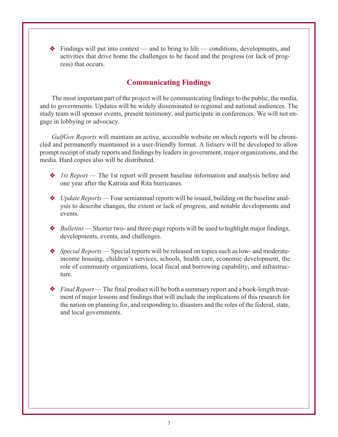- Findings will put into context — and to bring to life — conditions, developments, and activities that drive home the challenges to be faced and the progress (or lack of progress) that occurs.

### **Communicating Findings**

The most important part of the project will be communicating findings to the public, the media, and to governments. Updates will be widely disseminated to regional and national audiences. The study team will sponsor events, present testimony, and participate in conferences. We will not engage in lobbying or advocacy.

*GulfGov Reports* will maintain an active, accessible website on which reports will be chronicled and permanently maintained in a user-friendly format. A listserv will be developed to allow prompt receipt of study reports and findings by leaders in government, major organizations, and the media. Hard copies also will be distributed.

- ◆ *1st Report* The 1st report will present baseline information and analysis before and one year after the Katrina and Rita hurricanes.
- *Update Reports* Four semiannual reports will be issued, building on the baseline analysis to describe changes, the extent or lack of progress, and notable developments and events.
- ◆ *Bulletins* Shorter two- and three-page reports will be used to highlight major findings, developments, events, and challenges.
- *Special Reports* Special reports will be released on topics such as low- and moderateincome housing, children's services, schools, health care, economic development, the role of community organizations, local fiscal and borrowing capability, and infrastructure.
- ◆ *Final Report* The final product will be both a summary report and a book-length treatment of major lessons and findings that will include the implications of this research for the nation on planning for, and responding to, disasters and the roles of the federal, state, and local governments.